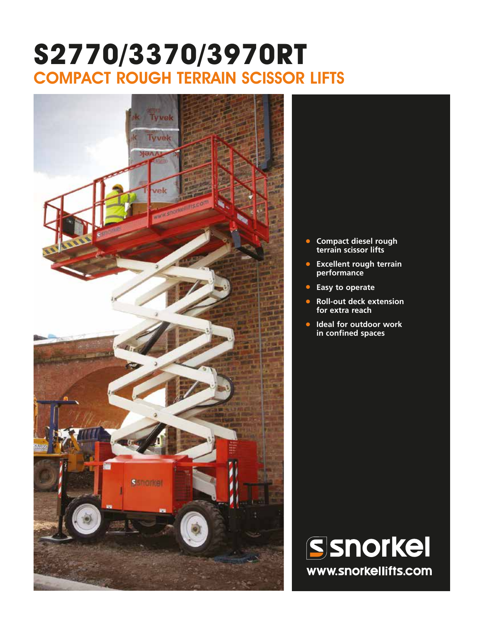# **S2770/3370/3970RT** COMPACT ROUGH TERRAIN SCISSOR LIFTS



- **• Compact diesel rough terrain scissor lifts**
- **• Excellent rough terrain performance**
- **• Easy to operate**
- **• Roll-out deck extension for extra reach**
- **• Ideal for outdoor work in confined spaces**